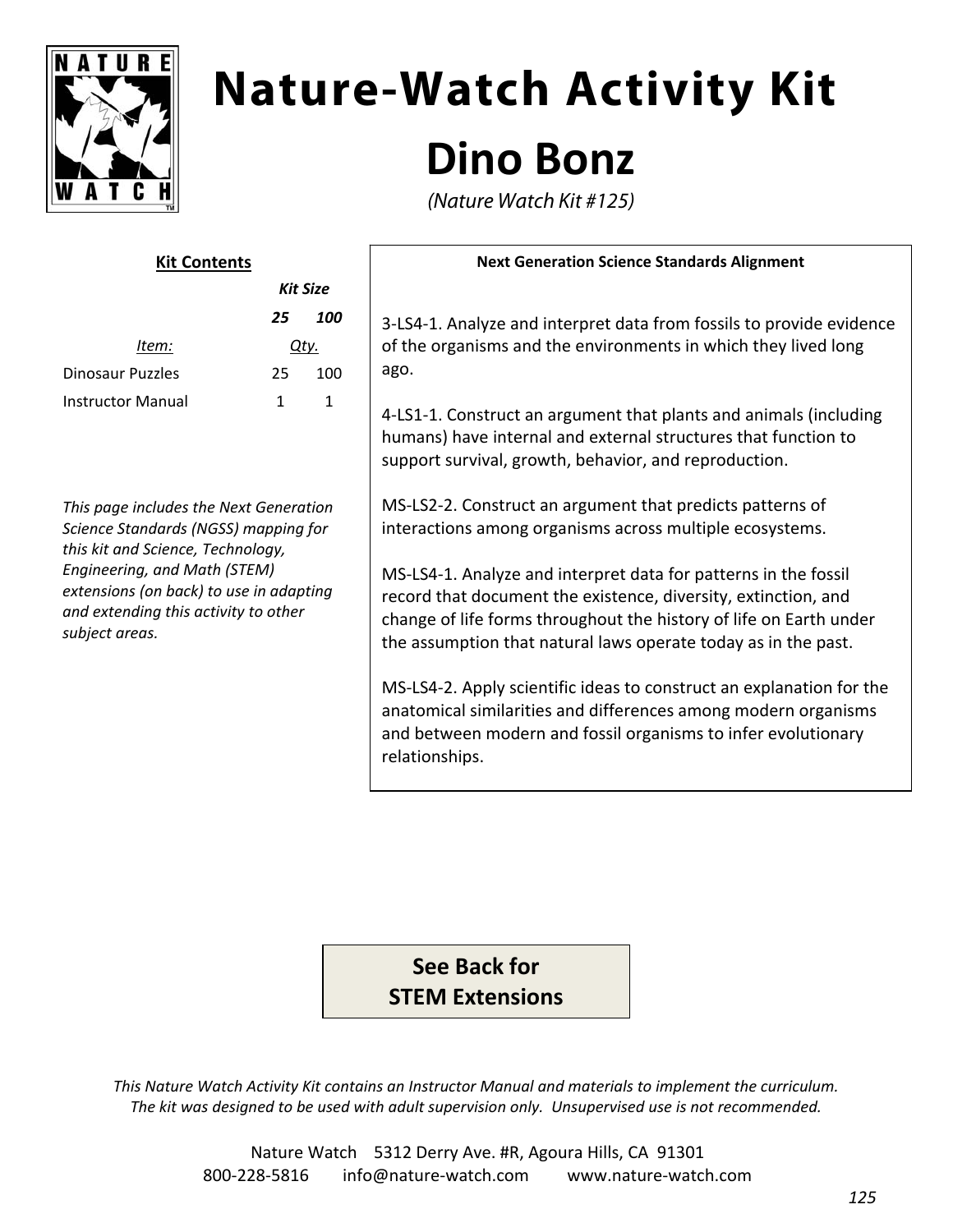

# **Nature-Watch Activity Kit Dino Bonz**

(Nature Watch Kit #125)

| <b>Kit Contents</b> |          |     |
|---------------------|----------|-----|
|                     | Kit Size |     |
|                     | 25       | 100 |
| ltem:               | Qtv.     |     |
| Dinosaur Puzzles    | 25.      | 100 |
| Instructor Manual   | 1        |     |
|                     |          |     |

*This page includes the Next Generation Science Standards (NGSS) mapping for this kit and Science, Technology, Engineering, and Math (STEM) extensions (on back) to use in adapting and extending this activity to other subject areas.*

#### **Next Generation Science Standards Alignment**

3‐LS4‐1. Analyze and interpret data from fossils to provide evidence of the organisms and the environments in which they lived long ago.

4‐LS1‐1. Construct an argument that plants and animals (including humans) have internal and external structures that function to support survival, growth, behavior, and reproduction.

MS‐LS2‐2. Construct an argument that predicts patterns of interactions among organisms across multiple ecosystems.

MS‐LS4‐1. Analyze and interpret data for patterns in the fossil record that document the existence, diversity, extinction, and change of life forms throughout the history of life on Earth under the assumption that natural laws operate today as in the past.

MS‐LS4‐2. Apply scientific ideas to construct an explanation for the anatomical similarities and differences among modern organisms and between modern and fossil organisms to infer evolutionary relationships.

**See Back for STEM Extensions**

*This Nature Watch Activity Kit contains an Instructor Manual and materials to implement the curriculum. The kit was designed to be used with adult supervision only. Unsupervised use is not recommended.*

> Nature Watch 5312 Derry Ave. #R, Agoura Hills, CA 91301 800‐228‐5816 info@nature‐watch.com www.nature‐watch.com